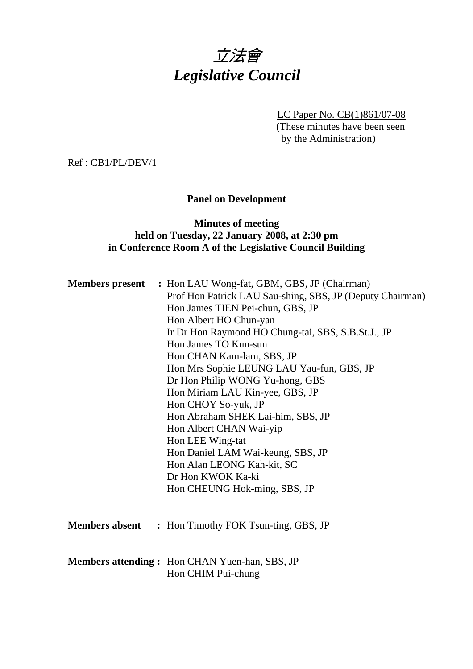# 立法會 *Legislative Council*

LC Paper No. CB(1)861/07-08 (These minutes have been seen by the Administration)

Ref : CB1/PL/DEV/1

# **Panel on Development**

# **Minutes of meeting held on Tuesday, 22 January 2008, at 2:30 pm in Conference Room A of the Legislative Council Building**

| <b>Members present</b> : Hon LAU Wong-fat, GBM, GBS, JP (Chairman)<br>Prof Hon Patrick LAU Sau-shing, SBS, JP (Deputy Chairman) |  |
|---------------------------------------------------------------------------------------------------------------------------------|--|
| Hon James TIEN Pei-chun, GBS, JP                                                                                                |  |
| Hon Albert HO Chun-yan                                                                                                          |  |
| Ir Dr Hon Raymond HO Chung-tai, SBS, S.B.St.J., JP                                                                              |  |
| Hon James TO Kun-sun                                                                                                            |  |
| Hon CHAN Kam-lam, SBS, JP                                                                                                       |  |
| Hon Mrs Sophie LEUNG LAU Yau-fun, GBS, JP                                                                                       |  |
| Dr Hon Philip WONG Yu-hong, GBS                                                                                                 |  |
| Hon Miriam LAU Kin-yee, GBS, JP                                                                                                 |  |
| Hon CHOY So-yuk, JP                                                                                                             |  |
| Hon Abraham SHEK Lai-him, SBS, JP                                                                                               |  |
| Hon Albert CHAN Wai-yip                                                                                                         |  |
| Hon LEE Wing-tat                                                                                                                |  |
| Hon Daniel LAM Wai-keung, SBS, JP                                                                                               |  |
| Hon Alan LEONG Kah-kit, SC                                                                                                      |  |
| Dr Hon KWOK Ka-ki                                                                                                               |  |
| Hon CHEUNG Hok-ming, SBS, JP                                                                                                    |  |
|                                                                                                                                 |  |
| <b>Members absent</b> : Hon Timothy FOK Tsun-ting, GBS, JP                                                                      |  |
|                                                                                                                                 |  |
| Members attending: Hon CHAN Yuen-han, SBS, JP<br>Hon CHIM Pui-chung                                                             |  |
|                                                                                                                                 |  |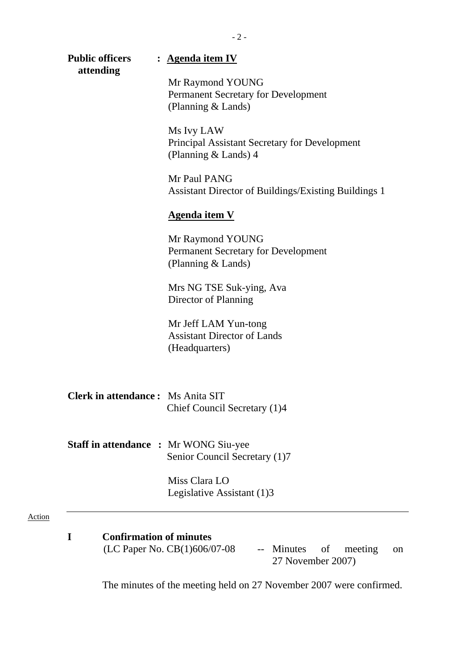| <b>Public officers</b>                       | : Agenda item IV                                                                     |  |
|----------------------------------------------|--------------------------------------------------------------------------------------|--|
| attending                                    | Mr Raymond YOUNG<br><b>Permanent Secretary for Development</b><br>(Planning & Lands) |  |
|                                              | Ms Ivy LAW<br>Principal Assistant Secretary for Development<br>(Planning & Lands) 4  |  |
|                                              | Mr Paul PANG<br><b>Assistant Director of Buildings/Existing Buildings 1</b>          |  |
|                                              | <b>Agenda item V</b>                                                                 |  |
|                                              | Mr Raymond YOUNG<br>Permanent Secretary for Development<br>(Planning & Lands)        |  |
|                                              | Mrs NG TSE Suk-ying, Ava<br>Director of Planning                                     |  |
|                                              | Mr Jeff LAM Yun-tong<br><b>Assistant Director of Lands</b><br>(Headquarters)         |  |
| <b>Clerk in attendance:</b> Ms Anita SIT     | Chief Council Secretary (1)4                                                         |  |
| <b>Staff in attendance : Mr WONG Siu-yee</b> | Senior Council Secretary (1)7                                                        |  |
|                                              | Miss Clara LO<br>Legislative Assistant (1)3                                          |  |
|                                              |                                                                                      |  |
| <b>Confirmation of minutes</b><br>I          |                                                                                      |  |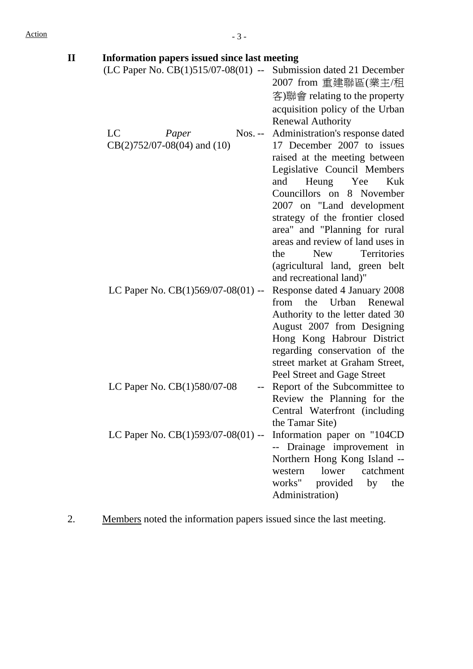| <b>Information papers issued since last meeting</b>                            |
|--------------------------------------------------------------------------------|
| (LC Paper No. $CB(1)515/07-08(01)$ --<br>Submission dated 21 December          |
| 2007 from 重建聯區(業主/租                                                            |
| 客)聯會 relating to the property                                                  |
| acquisition policy of the Urban                                                |
| <b>Renewal Authority</b>                                                       |
| Administration's response dated<br>$N$ os. --                                  |
| 17 December 2007 to issues                                                     |
| raised at the meeting between                                                  |
| Legislative Council Members                                                    |
| Heung<br>and<br>Yee<br>Kuk                                                     |
| Councillors on 8 November                                                      |
| 2007 on "Land development"                                                     |
| strategy of the frontier closed                                                |
| area" and "Planning for rural                                                  |
| areas and review of land uses in                                               |
| <b>New</b><br>Territories<br>the                                               |
| (agricultural land, green belt                                                 |
| and recreational land)"                                                        |
| Response dated 4 January 2008                                                  |
| the<br>Urban<br>from<br>Renewal                                                |
| Authority to the letter dated 30                                               |
| August 2007 from Designing                                                     |
| Hong Kong Habrour District                                                     |
| regarding conservation of the                                                  |
| street market at Graham Street,                                                |
| Peel Street and Gage Street                                                    |
| Report of the Subcommittee to                                                  |
| Review the Planning for the                                                    |
| Central Waterfront (including                                                  |
| the Tamar Site)                                                                |
| Information paper on "104CD                                                    |
| Drainage improvement in                                                        |
| Northern Hong Kong Island --                                                   |
| catchment<br>lower<br>western                                                  |
| works" provided<br>by<br>the                                                   |
| Administration)                                                                |
| LC Paper No. CB(1)569/07-08(01) --<br>--<br>LC Paper No. CB(1)593/07-08(01) -- |

2. Members noted the information papers issued since the last meeting.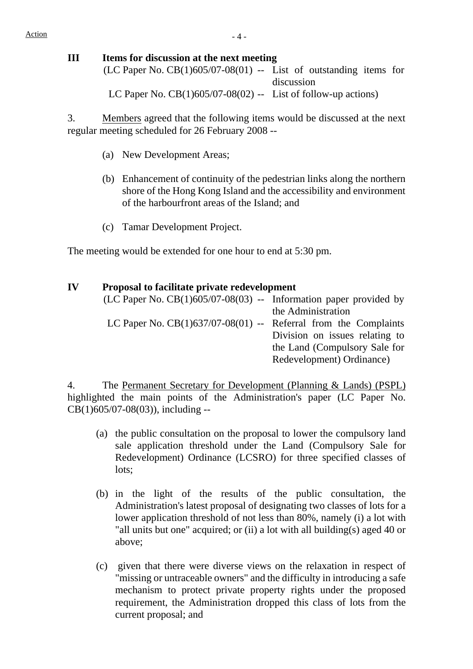# **III Items for discussion at the next meeting**

 $(LC$  Paper No.  $CB(1)605/07-08(01)$  -- List of outstanding items for discussion LC Paper No.  $CB(1)605/07-08(02)$  -- List of follow-up actions)

3. Members agreed that the following items would be discussed at the next regular meeting scheduled for 26 February 2008 --

- (a) New Development Areas;
- (b) Enhancement of continuity of the pedestrian links along the northern shore of the Hong Kong Island and the accessibility and environment of the harbourfront areas of the Island; and
- (c) Tamar Development Project.

The meeting would be extended for one hour to end at 5:30 pm.

| IV | <b>Proposal to facilitate private redevelopment</b>                 |                                |  |  |
|----|---------------------------------------------------------------------|--------------------------------|--|--|
|    | (LC Paper No. $CB(1)605/07-08(03)$ -- Information paper provided by |                                |  |  |
|    |                                                                     | the Administration             |  |  |
|    | LC Paper No. $CB(1)637/07-08(01)$ -- Referral from the Complaints   |                                |  |  |
|    |                                                                     | Division on issues relating to |  |  |
|    |                                                                     | the Land (Compulsory Sale for  |  |  |
|    |                                                                     | Redevelopment) Ordinance)      |  |  |

4. The Permanent Secretary for Development (Planning & Lands) (PSPL) highlighted the main points of the Administration's paper (LC Paper No. CB(1)605/07-08(03)), including --

- (a) the public consultation on the proposal to lower the compulsory land sale application threshold under the Land (Compulsory Sale for Redevelopment) Ordinance (LCSRO) for three specified classes of lots;
- (b) in the light of the results of the public consultation, the Administration's latest proposal of designating two classes of lots for a lower application threshold of not less than 80%, namely (i) a lot with "all units but one" acquired; or (ii) a lot with all building(s) aged 40 or above;
- (c) given that there were diverse views on the relaxation in respect of "missing or untraceable owners" and the difficulty in introducing a safe mechanism to protect private property rights under the proposed requirement, the Administration dropped this class of lots from the current proposal; and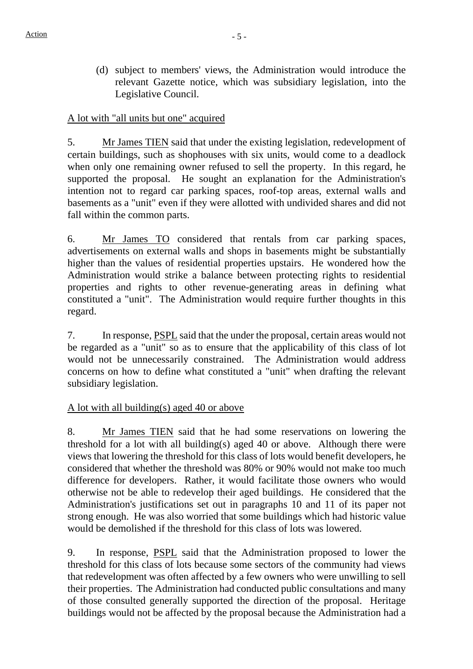(d) subject to members' views, the Administration would introduce the relevant Gazette notice, which was subsidiary legislation, into the Legislative Council.

# A lot with "all units but one" acquired

5. Mr James TIEN said that under the existing legislation, redevelopment of certain buildings, such as shophouses with six units, would come to a deadlock when only one remaining owner refused to sell the property. In this regard, he supported the proposal. He sought an explanation for the Administration's intention not to regard car parking spaces, roof-top areas, external walls and basements as a "unit" even if they were allotted with undivided shares and did not fall within the common parts.

6. Mr James TO considered that rentals from car parking spaces, advertisements on external walls and shops in basements might be substantially higher than the values of residential properties upstairs. He wondered how the Administration would strike a balance between protecting rights to residential properties and rights to other revenue-generating areas in defining what constituted a "unit". The Administration would require further thoughts in this regard.

7. In response, PSPL said that the under the proposal, certain areas would not be regarded as a "unit" so as to ensure that the applicability of this class of lot would not be unnecessarily constrained. The Administration would address concerns on how to define what constituted a "unit" when drafting the relevant subsidiary legislation.

#### A lot with all building(s) aged 40 or above

8. Mr James TIEN said that he had some reservations on lowering the threshold for a lot with all building(s) aged 40 or above. Although there were views that lowering the threshold for this class of lots would benefit developers, he considered that whether the threshold was 80% or 90% would not make too much difference for developers. Rather, it would facilitate those owners who would otherwise not be able to redevelop their aged buildings. He considered that the Administration's justifications set out in paragraphs 10 and 11 of its paper not strong enough. He was also worried that some buildings which had historic value would be demolished if the threshold for this class of lots was lowered.

9. In response, PSPL said that the Administration proposed to lower the threshold for this class of lots because some sectors of the community had views that redevelopment was often affected by a few owners who were unwilling to sell their properties. The Administration had conducted public consultations and many of those consulted generally supported the direction of the proposal. Heritage buildings would not be affected by the proposal because the Administration had a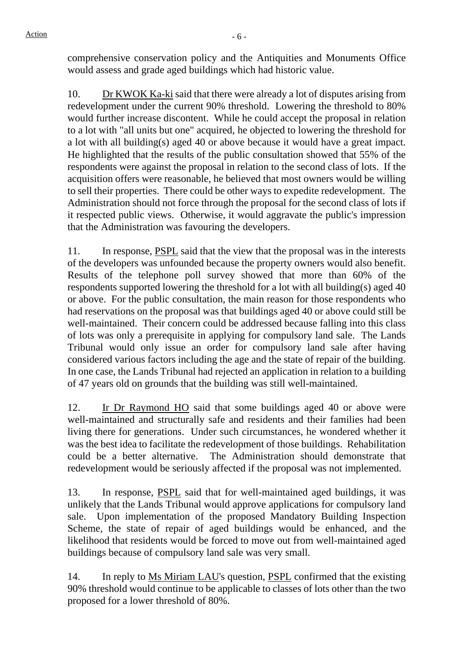comprehensive conservation policy and the Antiquities and Monuments Office would assess and grade aged buildings which had historic value.

10. Dr KWOK Ka-ki said that there were already a lot of disputes arising from redevelopment under the current 90% threshold. Lowering the threshold to 80% would further increase discontent. While he could accept the proposal in relation to a lot with "all units but one" acquired, he objected to lowering the threshold for a lot with all building(s) aged 40 or above because it would have a great impact. He highlighted that the results of the public consultation showed that 55% of the respondents were against the proposal in relation to the second class of lots. If the acquisition offers were reasonable, he believed that most owners would be willing to sell their properties. There could be other ways to expedite redevelopment. The Administration should not force through the proposal for the second class of lots if it respected public views. Otherwise, it would aggravate the public's impression that the Administration was favouring the developers.

11. In response, PSPL said that the view that the proposal was in the interests of the developers was unfounded because the property owners would also benefit. Results of the telephone poll survey showed that more than 60% of the respondents supported lowering the threshold for a lot with all building(s) aged 40 or above. For the public consultation, the main reason for those respondents who had reservations on the proposal was that buildings aged 40 or above could still be well-maintained. Their concern could be addressed because falling into this class of lots was only a prerequisite in applying for compulsory land sale. The Lands Tribunal would only issue an order for compulsory land sale after having considered various factors including the age and the state of repair of the building. In one case, the Lands Tribunal had rejected an application in relation to a building of 47 years old on grounds that the building was still well-maintained.

12. Ir Dr Raymond HO said that some buildings aged 40 or above were well-maintained and structurally safe and residents and their families had been living there for generations. Under such circumstances, he wondered whether it was the best idea to facilitate the redevelopment of those buildings. Rehabilitation could be a better alternative. The Administration should demonstrate that redevelopment would be seriously affected if the proposal was not implemented.

13. In response, PSPL said that for well-maintained aged buildings, it was unlikely that the Lands Tribunal would approve applications for compulsory land sale. Upon implementation of the proposed Mandatory Building Inspection Scheme, the state of repair of aged buildings would be enhanced, and the likelihood that residents would be forced to move out from well-maintained aged buildings because of compulsory land sale was very small.

14. In reply to Ms Miriam LAU's question, PSPL confirmed that the existing 90% threshold would continue to be applicable to classes of lots other than the two proposed for a lower threshold of 80%.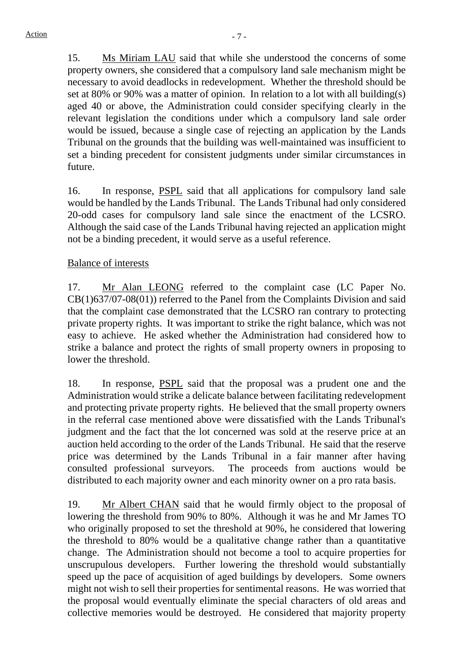15. Ms Miriam LAU said that while she understood the concerns of some property owners, she considered that a compulsory land sale mechanism might be necessary to avoid deadlocks in redevelopment. Whether the threshold should be set at 80% or 90% was a matter of opinion. In relation to a lot with all building(s) aged 40 or above, the Administration could consider specifying clearly in the relevant legislation the conditions under which a compulsory land sale order would be issued, because a single case of rejecting an application by the Lands Tribunal on the grounds that the building was well-maintained was insufficient to set a binding precedent for consistent judgments under similar circumstances in future.

16. In response, PSPL said that all applications for compulsory land sale would be handled by the Lands Tribunal. The Lands Tribunal had only considered 20-odd cases for compulsory land sale since the enactment of the LCSRO. Although the said case of the Lands Tribunal having rejected an application might not be a binding precedent, it would serve as a useful reference.

# Balance of interests

17. Mr Alan LEONG referred to the complaint case (LC Paper No. CB(1)637/07-08(01)) referred to the Panel from the Complaints Division and said that the complaint case demonstrated that the LCSRO ran contrary to protecting private property rights. It was important to strike the right balance, which was not easy to achieve. He asked whether the Administration had considered how to strike a balance and protect the rights of small property owners in proposing to lower the threshold.

18. In response, PSPL said that the proposal was a prudent one and the Administration would strike a delicate balance between facilitating redevelopment and protecting private property rights. He believed that the small property owners in the referral case mentioned above were dissatisfied with the Lands Tribunal's judgment and the fact that the lot concerned was sold at the reserve price at an auction held according to the order of the Lands Tribunal. He said that the reserve price was determined by the Lands Tribunal in a fair manner after having consulted professional surveyors. The proceeds from auctions would be distributed to each majority owner and each minority owner on a pro rata basis.

19. Mr Albert CHAN said that he would firmly object to the proposal of lowering the threshold from 90% to 80%. Although it was he and Mr James TO who originally proposed to set the threshold at 90%, he considered that lowering the threshold to 80% would be a qualitative change rather than a quantitative change. The Administration should not become a tool to acquire properties for unscrupulous developers. Further lowering the threshold would substantially speed up the pace of acquisition of aged buildings by developers. Some owners might not wish to sell their properties for sentimental reasons. He was worried that the proposal would eventually eliminate the special characters of old areas and collective memories would be destroyed. He considered that majority property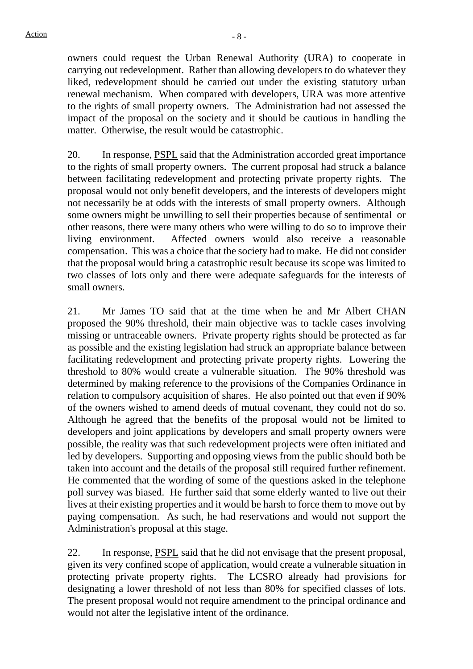owners could request the Urban Renewal Authority (URA) to cooperate in carrying out redevelopment. Rather than allowing developers to do whatever they liked, redevelopment should be carried out under the existing statutory urban renewal mechanism. When compared with developers, URA was more attentive to the rights of small property owners. The Administration had not assessed the impact of the proposal on the society and it should be cautious in handling the matter. Otherwise, the result would be catastrophic.

20. In response, PSPL said that the Administration accorded great importance to the rights of small property owners. The current proposal had struck a balance between facilitating redevelopment and protecting private property rights. The proposal would not only benefit developers, and the interests of developers might not necessarily be at odds with the interests of small property owners. Although some owners might be unwilling to sell their properties because of sentimental or other reasons, there were many others who were willing to do so to improve their living environment. Affected owners would also receive a reasonable compensation. This was a choice that the society had to make. He did not consider that the proposal would bring a catastrophic result because its scope was limited to two classes of lots only and there were adequate safeguards for the interests of small owners.

21. Mr James TO said that at the time when he and Mr Albert CHAN proposed the 90% threshold, their main objective was to tackle cases involving missing or untraceable owners. Private property rights should be protected as far as possible and the existing legislation had struck an appropriate balance between facilitating redevelopment and protecting private property rights. Lowering the threshold to 80% would create a vulnerable situation. The 90% threshold was determined by making reference to the provisions of the Companies Ordinance in relation to compulsory acquisition of shares. He also pointed out that even if 90% of the owners wished to amend deeds of mutual covenant, they could not do so. Although he agreed that the benefits of the proposal would not be limited to developers and joint applications by developers and small property owners were possible, the reality was that such redevelopment projects were often initiated and led by developers. Supporting and opposing views from the public should both be taken into account and the details of the proposal still required further refinement. He commented that the wording of some of the questions asked in the telephone poll survey was biased. He further said that some elderly wanted to live out their lives at their existing properties and it would be harsh to force them to move out by paying compensation. As such, he had reservations and would not support the Administration's proposal at this stage.

22. In response, PSPL said that he did not envisage that the present proposal, given its very confined scope of application, would create a vulnerable situation in protecting private property rights. The LCSRO already had provisions for designating a lower threshold of not less than 80% for specified classes of lots. The present proposal would not require amendment to the principal ordinance and would not alter the legislative intent of the ordinance.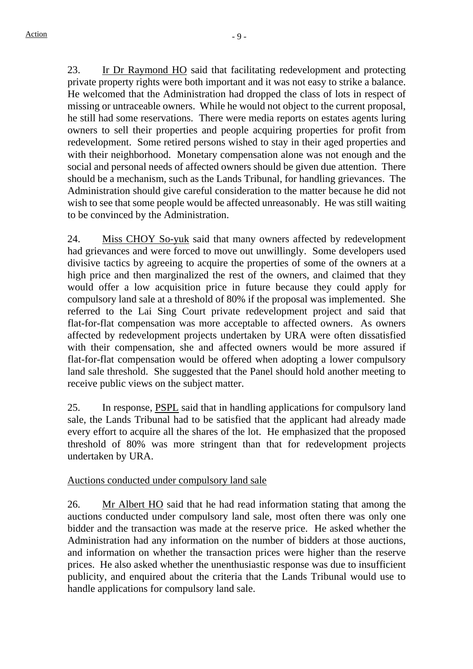23. Ir Dr Raymond HO said that facilitating redevelopment and protecting private property rights were both important and it was not easy to strike a balance. He welcomed that the Administration had dropped the class of lots in respect of missing or untraceable owners. While he would not object to the current proposal, he still had some reservations. There were media reports on estates agents luring owners to sell their properties and people acquiring properties for profit from redevelopment. Some retired persons wished to stay in their aged properties and with their neighborhood. Monetary compensation alone was not enough and the social and personal needs of affected owners should be given due attention. There should be a mechanism, such as the Lands Tribunal, for handling grievances. The Administration should give careful consideration to the matter because he did not wish to see that some people would be affected unreasonably. He was still waiting to be convinced by the Administration.

24. Miss CHOY So-yuk said that many owners affected by redevelopment had grievances and were forced to move out unwillingly. Some developers used divisive tactics by agreeing to acquire the properties of some of the owners at a high price and then marginalized the rest of the owners, and claimed that they would offer a low acquisition price in future because they could apply for compulsory land sale at a threshold of 80% if the proposal was implemented. She referred to the Lai Sing Court private redevelopment project and said that flat-for-flat compensation was more acceptable to affected owners. As owners affected by redevelopment projects undertaken by URA were often dissatisfied with their compensation, she and affected owners would be more assured if flat-for-flat compensation would be offered when adopting a lower compulsory land sale threshold. She suggested that the Panel should hold another meeting to receive public views on the subject matter.

25. In response, PSPL said that in handling applications for compulsory land sale, the Lands Tribunal had to be satisfied that the applicant had already made every effort to acquire all the shares of the lot. He emphasized that the proposed threshold of 80% was more stringent than that for redevelopment projects undertaken by URA.

#### Auctions conducted under compulsory land sale

26. Mr Albert HO said that he had read information stating that among the auctions conducted under compulsory land sale, most often there was only one bidder and the transaction was made at the reserve price. He asked whether the Administration had any information on the number of bidders at those auctions, and information on whether the transaction prices were higher than the reserve prices. He also asked whether the unenthusiastic response was due to insufficient publicity, and enquired about the criteria that the Lands Tribunal would use to handle applications for compulsory land sale.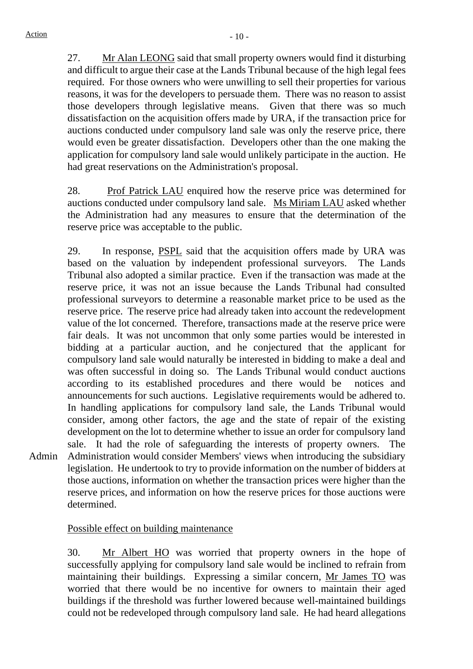Admin

27. Mr Alan LEONG said that small property owners would find it disturbing and difficult to argue their case at the Lands Tribunal because of the high legal fees required. For those owners who were unwilling to sell their properties for various reasons, it was for the developers to persuade them. There was no reason to assist those developers through legislative means. Given that there was so much dissatisfaction on the acquisition offers made by URA, if the transaction price for auctions conducted under compulsory land sale was only the reserve price, there would even be greater dissatisfaction. Developers other than the one making the application for compulsory land sale would unlikely participate in the auction. He had great reservations on the Administration's proposal.

28. Prof Patrick LAU enquired how the reserve price was determined for auctions conducted under compulsory land sale. Ms Miriam LAU asked whether the Administration had any measures to ensure that the determination of the reserve price was acceptable to the public.

29. In response, PSPL said that the acquisition offers made by URA was based on the valuation by independent professional surveyors. The Lands Tribunal also adopted a similar practice. Even if the transaction was made at the reserve price, it was not an issue because the Lands Tribunal had consulted professional surveyors to determine a reasonable market price to be used as the reserve price. The reserve price had already taken into account the redevelopment value of the lot concerned. Therefore, transactions made at the reserve price were fair deals. It was not uncommon that only some parties would be interested in bidding at a particular auction, and he conjectured that the applicant for compulsory land sale would naturally be interested in bidding to make a deal and was often successful in doing so. The Lands Tribunal would conduct auctions according to its established procedures and there would be notices and announcements for such auctions. Legislative requirements would be adhered to. In handling applications for compulsory land sale, the Lands Tribunal would consider, among other factors, the age and the state of repair of the existing development on the lot to determine whether to issue an order for compulsory land sale. It had the role of safeguarding the interests of property owners. The Administration would consider Members' views when introducing the subsidiary legislation. He undertook to try to provide information on the number of bidders at those auctions, information on whether the transaction prices were higher than the reserve prices, and information on how the reserve prices for those auctions were determined.

Possible effect on building maintenance

30. Mr Albert HO was worried that property owners in the hope of successfully applying for compulsory land sale would be inclined to refrain from maintaining their buildings. Expressing a similar concern, Mr James TO was worried that there would be no incentive for owners to maintain their aged buildings if the threshold was further lowered because well-maintained buildings could not be redeveloped through compulsory land sale. He had heard allegations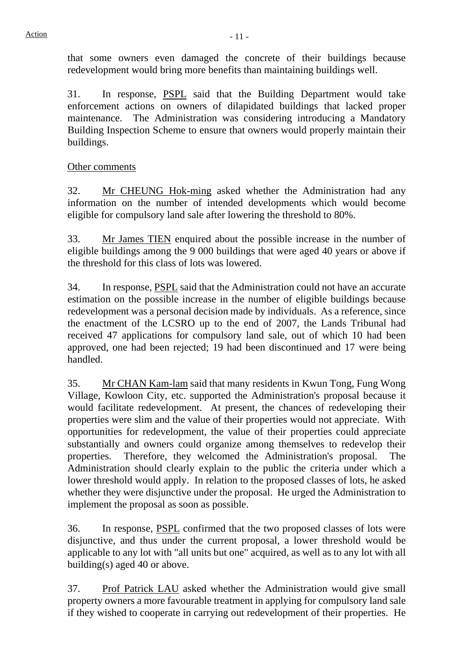that some owners even damaged the concrete of their buildings because redevelopment would bring more benefits than maintaining buildings well.

31. In response, PSPL said that the Building Department would take enforcement actions on owners of dilapidated buildings that lacked proper maintenance. The Administration was considering introducing a Mandatory Building Inspection Scheme to ensure that owners would properly maintain their buildings.

# Other comments

32. Mr CHEUNG Hok-ming asked whether the Administration had any information on the number of intended developments which would become eligible for compulsory land sale after lowering the threshold to 80%.

33. Mr James TIEN enquired about the possible increase in the number of eligible buildings among the 9 000 buildings that were aged 40 years or above if the threshold for this class of lots was lowered.

34. In response, PSPL said that the Administration could not have an accurate estimation on the possible increase in the number of eligible buildings because redevelopment was a personal decision made by individuals. As a reference, since the enactment of the LCSRO up to the end of 2007, the Lands Tribunal had received 47 applications for compulsory land sale, out of which 10 had been approved, one had been rejected; 19 had been discontinued and 17 were being handled.

35. Mr CHAN Kam-lam said that many residents in Kwun Tong, Fung Wong Village, Kowloon City, etc. supported the Administration's proposal because it would facilitate redevelopment. At present, the chances of redeveloping their properties were slim and the value of their properties would not appreciate. With opportunities for redevelopment, the value of their properties could appreciate substantially and owners could organize among themselves to redevelop their properties. Therefore, they welcomed the Administration's proposal. The Administration should clearly explain to the public the criteria under which a lower threshold would apply. In relation to the proposed classes of lots, he asked whether they were disjunctive under the proposal. He urged the Administration to implement the proposal as soon as possible.

36. In response, PSPL confirmed that the two proposed classes of lots were disjunctive, and thus under the current proposal, a lower threshold would be applicable to any lot with "all units but one" acquired, as well as to any lot with all building(s) aged 40 or above.

37. Prof Patrick LAU asked whether the Administration would give small property owners a more favourable treatment in applying for compulsory land sale if they wished to cooperate in carrying out redevelopment of their properties. He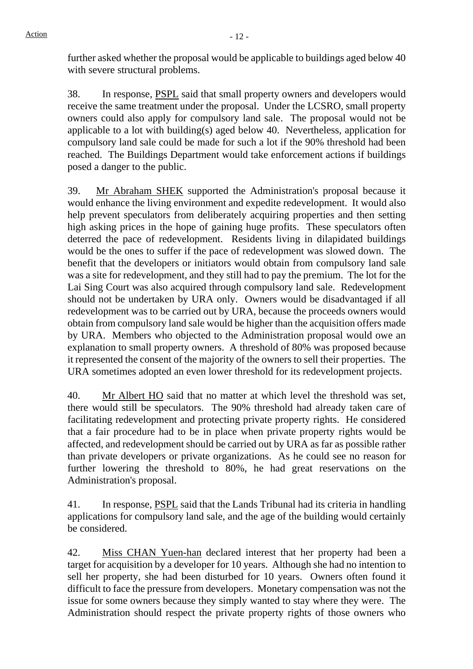further asked whether the proposal would be applicable to buildings aged below 40 with severe structural problems.

38. In response, PSPL said that small property owners and developers would receive the same treatment under the proposal. Under the LCSRO, small property owners could also apply for compulsory land sale. The proposal would not be applicable to a lot with building(s) aged below 40. Nevertheless, application for compulsory land sale could be made for such a lot if the 90% threshold had been reached. The Buildings Department would take enforcement actions if buildings posed a danger to the public.

39. Mr Abraham SHEK supported the Administration's proposal because it would enhance the living environment and expedite redevelopment. It would also help prevent speculators from deliberately acquiring properties and then setting high asking prices in the hope of gaining huge profits. These speculators often deterred the pace of redevelopment. Residents living in dilapidated buildings would be the ones to suffer if the pace of redevelopment was slowed down. The benefit that the developers or initiators would obtain from compulsory land sale was a site for redevelopment, and they still had to pay the premium. The lot for the Lai Sing Court was also acquired through compulsory land sale. Redevelopment should not be undertaken by URA only. Owners would be disadvantaged if all redevelopment was to be carried out by URA, because the proceeds owners would obtain from compulsory land sale would be higher than the acquisition offers made by URA. Members who objected to the Administration proposal would owe an explanation to small property owners. A threshold of 80% was proposed because it represented the consent of the majority of the owners to sell their properties. The URA sometimes adopted an even lower threshold for its redevelopment projects.

40. Mr Albert HO said that no matter at which level the threshold was set, there would still be speculators. The 90% threshold had already taken care of facilitating redevelopment and protecting private property rights. He considered that a fair procedure had to be in place when private property rights would be affected, and redevelopment should be carried out by URA as far as possible rather than private developers or private organizations. As he could see no reason for further lowering the threshold to 80%, he had great reservations on the Administration's proposal.

41. In response, PSPL said that the Lands Tribunal had its criteria in handling applications for compulsory land sale, and the age of the building would certainly be considered.

42. Miss CHAN Yuen-han declared interest that her property had been a target for acquisition by a developer for 10 years. Although she had no intention to sell her property, she had been disturbed for 10 years. Owners often found it difficult to face the pressure from developers. Monetary compensation was not the issue for some owners because they simply wanted to stay where they were. The Administration should respect the private property rights of those owners who